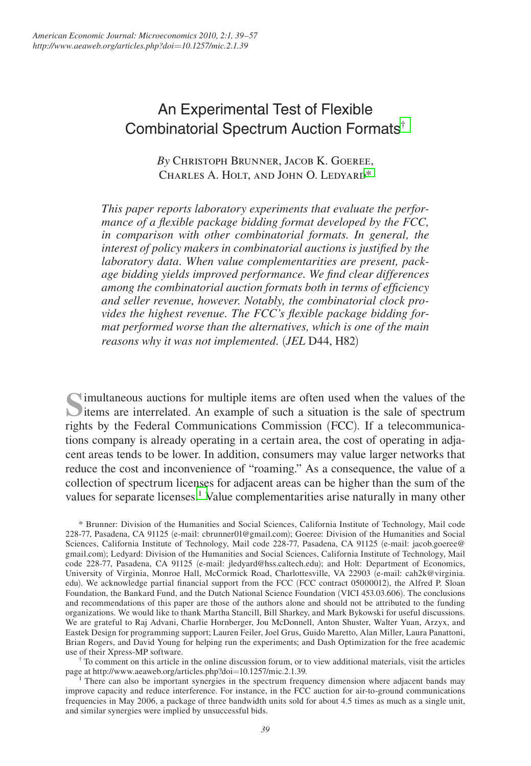# An Experimental Test of Flexible Combinatorial Spectrum Auction Formats†

*By* Christoph Brunner, Jacob K. Goeree, CHARLES A. HOLT, AND JOHN O. LEDYARD\*

*This paper reports laboratory experiments that evaluate the performance of a flexible package bidding format developed by the FCC, in comparison with other combinatorial formats. In general, the interest of policy makers in combinatorial auctions is justified by the laboratory data. When value complementarities are present, package bidding yields improved performance. We find clear differences among the combinatorial auction formats both in terms of efficiency and seller revenue, however. Notably, the combinatorial clock provides the highest revenue. The FCC's flexible package bidding format performed worse than the alternatives, which is one of the main reasons why it was not implemented.* (*JEL* D44, H82)

**S**imultaneous auctions for multiple items are often used when the values of the items are interrelated. An example of such a situation is the sale of spectrum rights by the Federal Communications Commission (FCC). If a telecommunications company is already operating in a certain area, the cost of operating in adjacent areas tends to be lower. In addition, consumers may value larger networks that reduce the cost and inconvenience of "roaming." As a consequence, the value of a collection of spectrum licenses for adjacent areas can be higher than the sum of the values for separate licenses.<sup>1</sup> Value complementarities arise naturally in many other

\* Brunner: Division of the Humanities and Social Sciences, California Institute of Technology, Mail code 228-77, Pasadena, CA 91125 (e-mail: cbrunner01@gmail.com); Goeree: Division of the Humanities and Social Sciences, California Institute of Technology, Mail code 228-77, Pasadena, CA 91125 (e-mail: jacob.goeree@ gmail.com); Ledyard: Division of the Humanities and Social Sciences, California Institute of Technology, Mail code 228-77, Pasadena, CA 91125 (e-mail: jledyard@hss.caltech.edu); and Holt: Department of Economics, University of Virginia, Monroe Hall, McCormick Road, Charlottesville, VA 22903 (e-mail: cah2k@virginia. edu). We acknowledge partial financial support from the FCC (FCC contract 05000012), the Alfred P. Sloan Foundation, the Bankard Fund, and the Dutch National Science Foundation (VICI 453.03.606). The conclusions and recommendations of this paper are those of the authors alone and should not be attributed to the funding organizations. We would like to thank Martha Stancill, Bill Sharkey, and Mark Bykowski for useful discussions. We are grateful to Raj Advani, Charlie Hornberger, Jou McDonnell, Anton Shuster, Walter Yuan, Arzyx, and Eastek Design for programming support; Lauren Feiler, Joel Grus, Guido Maretto, Alan Miller, Laura Panattoni, Brian Rogers, and David Young for helping run the experiments; and Dash Optimization for the free academic use of their Xpress-MP software.

 $\dagger$  To comment on this article in the online discussion forum, or to view additional materials, visit the articles page at http://www.aeaweb.org/articles.php?doi=10.1257/mic.2.1.39.

<sup>1</sup> There can also be important synergies in the spectrum frequency dimension where adjacent bands may improve capacity and reduce interference. For instance, in the FCC auction for air-to-ground communications frequencies in May 2006, a package of three bandwidth units sold for about 4.5 times as much as a single unit, and similar synergies were implied by unsuccessful bids.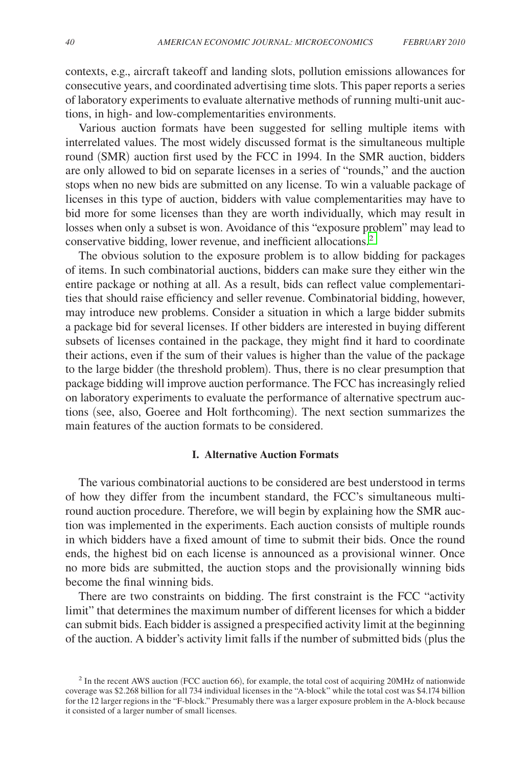contexts, e.g., aircraft takeoff and landing slots, pollution emissions allowances for consecutive years, and coordinated advertising time slots. This paper reports a series of laboratory experiments to evaluate alternative methods of running multi-unit auctions, in high- and low-complementarities environments.

Various auction formats have been suggested for selling multiple items with interrelated values. The most widely discussed format is the simultaneous multiple round (SMR) auction first used by the FCC in 1994. In the SMR auction, bidders are only allowed to bid on separate licenses in a series of "rounds," and the auction stops when no new bids are submitted on any license. To win a valuable package of licenses in this type of auction, bidders with value complementarities may have to bid more for some licenses than they are worth individually, which may result in losses when only a subset is won. Avoidance of this "exposure problem" may lead to conservative bidding, lower revenue, and inefficient allocations.2

The obvious solution to the exposure problem is to allow bidding for packages of items. In such combinatorial auctions, bidders can make sure they either win the entire package or nothing at all. As a result, bids can reflect value complementarities that should raise efficiency and seller revenue. Combinatorial bidding, however, may introduce new problems. Consider a situation in which a large bidder submits a package bid for several licenses. If other bidders are interested in buying different subsets of licenses contained in the package, they might find it hard to coordinate their actions, even if the sum of their values is higher than the value of the package to the large bidder (the threshold problem). Thus, there is no clear presumption that package bidding will improve auction performance. The FCC has increasingly relied on laboratory experiments to evaluate the performance of alternative spectrum auctions (see, also, Goeree and Holt forthcoming). The next section summarizes the main features of the auction formats to be considered.

# **I. Alternative Auction Formats**

The various combinatorial auctions to be considered are best understood in terms of how they differ from the incumbent standard, the FCC's simultaneous multiround auction procedure. Therefore, we will begin by explaining how the SMR auction was implemented in the experiments. Each auction consists of multiple rounds in which bidders have a fixed amount of time to submit their bids. Once the round ends, the highest bid on each license is announced as a provisional winner. Once no more bids are submitted, the auction stops and the provisionally winning bids become the final winning bids.

There are two constraints on bidding. The first constraint is the FCC "activity limit" that determines the maximum number of different licenses for which a bidder can submit bids. Each bidder is assigned a prespecified activity limit at the beginning of the auction. A bidder's activity limit falls if the number of submitted bids (plus the

 $2$  In the recent AWS auction (FCC auction 66), for example, the total cost of acquiring 20MHz of nationwide coverage was \$2.268 billion for all 734 individual licenses in the "A-block" while the total cost was \$4.174 billion for the 12 larger regions in the "F-block." Presumably there was a larger exposure problem in the A-block because it consisted of a larger number of small licenses.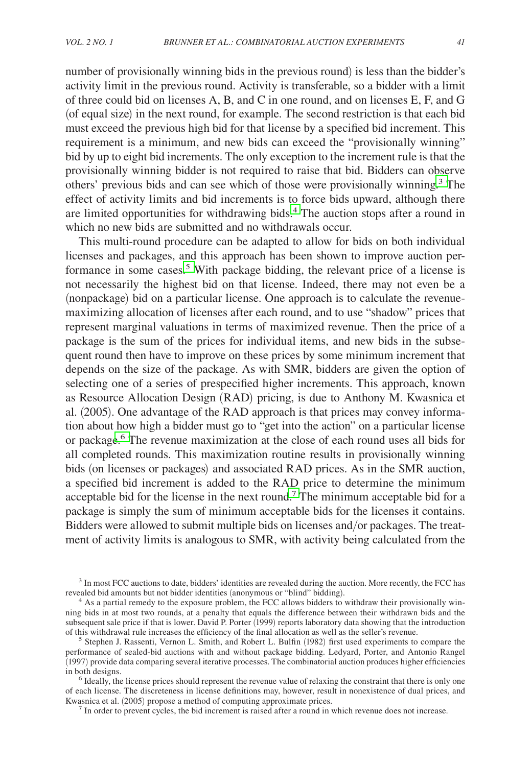number of provisionally winning bids in the previous round) is less than the bidder's activity limit in the previous round. Activity is transferable, so a bidder with a limit of three could bid on licenses A, B, and C in one round, and on licenses E, F, and G (of equal size) in the next round, for example. The second restriction is that each bid must exceed the previous high bid for that license by a specified bid increment. This requirement is a minimum, and new bids can exceed the "provisionally winning" bid by up to eight bid increments. The only exception to the increment rule is that the provisionally winning bidder is not required to raise that bid. Bidders can observe others' previous bids and can see which of those were provisionally winning.3 The effect of activity limits and bid increments is to force bids upward, although there are limited opportunities for withdrawing bids.<sup>4</sup> The auction stops after a round in which no new bids are submitted and no withdrawals occur.

This multi-round procedure can be adapted to allow for bids on both individual licenses and packages, and this approach has been shown to improve auction performance in some cases.<sup>5</sup> With package bidding, the relevant price of a license is not necessarily the highest bid on that license. Indeed, there may not even be a (nonpackage) bid on a particular license. One approach is to calculate the revenuemaximizing allocation of licenses after each round, and to use "shadow" prices that represent marginal valuations in terms of maximized revenue. Then the price of a package is the sum of the prices for individual items, and new bids in the subsequent round then have to improve on these prices by some minimum increment that depends on the size of the package. As with SMR, bidders are given the option of selecting one of a series of prespecified higher increments. This approach, known as Resource Allocation Design (RAD) pricing, is due to Anthony M. Kwasnica et al. (2005). One advantage of the RAD approach is that prices may convey information about how high a bidder must go to "get into the action" on a particular license or package.<sup>6</sup> The revenue maximization at the close of each round uses all bids for all completed rounds. This maximization routine results in provisionally winning bids (on licenses or packages) and associated RAD prices. As in the SMR auction, a specified bid increment is added to the RAD price to determine the minimum acceptable bid for the license in the next round.<sup>7</sup> The minimum acceptable bid for a package is simply the sum of minimum acceptable bids for the licenses it contains. Bidders were allowed to submit multiple bids on licenses and/or packages. The treatment of activity limits is analogous to SMR, with activity being calculated from the

<sup>6</sup> Ideally, the license prices should represent the revenue value of relaxing the constraint that there is only one of each license. The discreteness in license definitions may, however, result in nonexistence of dual prices, and Kwasnica et al. (2005) propose a method of computing approximate prices.

 $<sup>7</sup>$  In order to prevent cycles, the bid increment is raised after a round in which revenue does not increase.</sup>

<sup>&</sup>lt;sup>3</sup> In most FCC auctions to date, bidders' identities are revealed during the auction. More recently, the FCC has revealed bid amounts but not bidder identities (anonymous or "blind" bidding). <sup>4</sup>

<sup>&</sup>lt;sup>4</sup> As a partial remedy to the exposure problem, the FCC allows bidders to withdraw their provisionally winning bids in at most two rounds, at a penalty that equals the difference between their withdrawn bids and the subsequent sale price if that is lower. David P. Porter (1999) reports laboratory data showing that the introduction of this withdrawal rule increases the efficiency of the final allocation as well as the seller's revenue. <sup>5</sup>

<sup>&</sup>lt;sup>5</sup> Stephen J. Rassenti, Vernon L. Smith, and Robert L. Bulfin (1982) first used experiments to compare the performance of sealed-bid auctions with and without package bidding. Ledyard, Porter, and Antonio Rangel (1997) provide data comparing several iterative processes. The combinatorial auction produces higher efficiencies in both designs.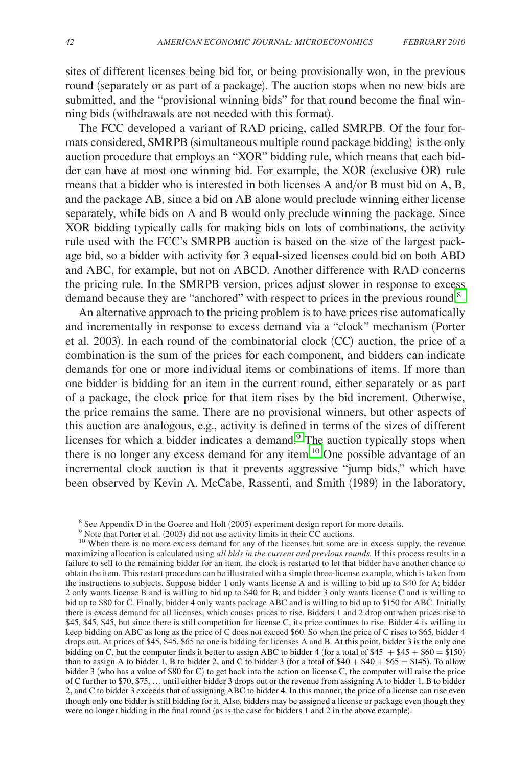sites of different licenses being bid for, or being provisionally won, in the previous round (separately or as part of a package). The auction stops when no new bids are submitted, and the "provisional winning bids" for that round become the final winning bids (withdrawals are not needed with this format).

The FCC developed a variant of RAD pricing, called SMRPB. Of the four formats considered, SMRPB (simultaneous multiple round package bidding) is the only auction procedure that employs an "XOR" bidding rule, which means that each bidder can have at most one winning bid. For example, the XOR (exclusive OR) rule means that a bidder who is interested in both licenses A and/or B must bid on A, B, and the package AB, since a bid on AB alone would preclude winning either license separately, while bids on A and B would only preclude winning the package. Since XOR bidding typically calls for making bids on lots of combinations, the activity rule used with the FCC's SMRPB auction is based on the size of the largest package bid, so a bidder with activity for 3 equal-sized licenses could bid on both ABD and ABC, for example, but not on ABCD. Another difference with RAD concerns the pricing rule. In the SMRPB version, prices adjust slower in response to excess demand because they are "anchored" with respect to prices in the previous round.<sup>8</sup>

An alternative approach to the pricing problem is to have prices rise automatically and incrementally in response to excess demand via a "clock" mechanism (Porter et al. 2003). In each round of the combinatorial clock (CC) auction, the price of a combination is the sum of the prices for each component, and bidders can indicate demands for one or more individual items or combinations of items. If more than one bidder is bidding for an item in the current round, either separately or as part of a package, the clock price for that item rises by the bid increment. Otherwise, the price remains the same. There are no provisional winners, but other aspects of this auction are analogous, e.g., activity is defined in terms of the sizes of different licenses for which a bidder indicates a demand.<sup>9</sup> The auction typically stops when there is no longer any excess demand for any item.10 One possible advantage of an incremental clock auction is that it prevents aggressive "jump bids," which have been observed by Kevin A. McCabe, Rassenti, and Smith (1989) in the laboratory,

<sup>&</sup>lt;sup>8</sup> See Appendix D in the Goeree and Holt (2005) experiment design report for more details.<br><sup>9</sup> Note that Porter at al. (2003) did not use activity limits in their CC quotions.

<sup>&</sup>lt;sup>9</sup> Note that Porter et al. (2003) did not use activity limits in their  $\overline{CC}$  auctions. <sup>10</sup> When there is no more excess demand for any of the licenses but some are in excess supply, the revenue maximizing allocation is calculated using *all bids in the current and previous rounds*. If this process results in a failure to sell to the remaining bidder for an item, the clock is restarted to let that bidder have another chance to obtain the item. This restart procedure can be illustrated with a simple three-license example, which is taken from the instructions to subjects. Suppose bidder 1 only wants license  $\overline{A}$  and is willing to bid up to \$40 for A; bidder 2 only wants license B and is willing to bid up to \$40 for B; and bidder 3 only wants license C and is willing to bid up to \$80 for C. Finally, bidder 4 only wants package ABC and is willing to bid up to \$150 for ABC. Initially there is excess demand for all licenses, which causes prices to rise. Bidders 1 and 2 drop out when prices rise to \$45, \$45, \$45, but since there is still competition for license C, its price continues to rise. Bidder 4 is willing to keep bidding on ABC as long as the price of C does not exceed \$60. So when the price of C rises to \$65, bidder 4 drops out. At prices of \$45, \$45, \$65 no one is bidding for licenses A and B. At this point, bidder 3 is the only one bidding on C, but the computer finds it better to assign ABC to bidder 4 (for a total of  $$45 + $45 + $60 = $150$ ) than to assign A to bidder 1, B to bidder 2, and C to bidder 3 (for a total of  $$40 + $40 + $65 = $145$ ). To allow bidder 3 (who has a value of \$80 for C) to get back into the action on license C, the computer will raise the price of C further to \$70, \$75, … until either bidder 3 drops out or the revenue from assigning A to bidder 1, B to bidder 2, and C to bidder 3 exceeds that of assigning ABC to bidder 4. In this manner, the price of a license can rise even though only one bidder is still bidding for it. Also, bidders may be assigned a license or package even though they were no longer bidding in the final round (as is the case for bidders 1 and 2 in the above example).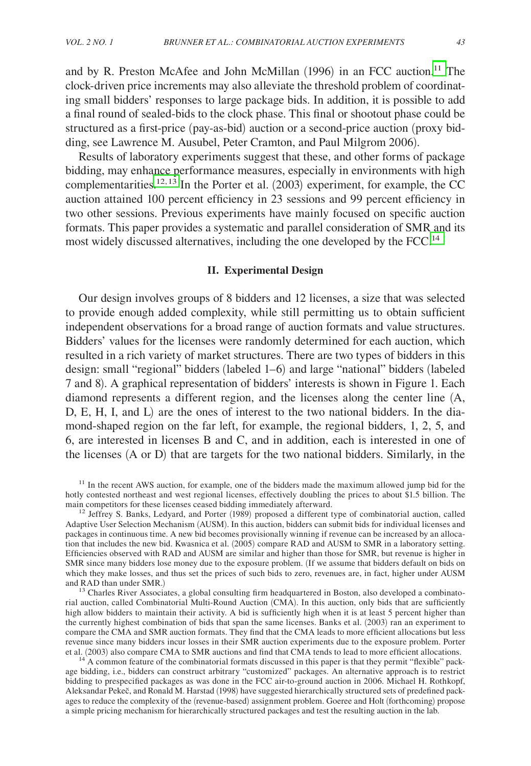and by R. Preston McAfee and John McMillan (1996) in an FCC auction.<sup>11</sup> The clock-driven price increments may also alleviate the threshold problem of coordinating small bidders' responses to large package bids. In addition, it is possible to add a final round of sealed-bids to the clock phase. This final or shootout phase could be structured as a first-price (pay-as-bid) auction or a second-price auction (proxy bidding, see Lawrence M. Ausubel, Peter Cramton, and Paul Milgrom 2006).

Results of laboratory experiments suggest that these, and other forms of package bidding, may enhance performance measures, especially in environments with high complementarities.<sup>12,13</sup> In the Porter et al.  $(2003)$  experiment, for example, the CC auction attained 100 percent efficiency in 23 sessions and 99 percent efficiency in two other sessions. Previous experiments have mainly focused on specific auction formats. This paper provides a systematic and parallel consideration of SMR and its most widely discussed alternatives, including the one developed by the FCC.<sup>14</sup>

### **II. Experimental Design**

Our design involves groups of 8 bidders and 12 licenses, a size that was selected to provide enough added complexity, while still permitting us to obtain sufficient independent observations for a broad range of auction formats and value structures. Bidders' values for the licenses were randomly determined for each auction, which resulted in a rich variety of market structures. There are two types of bidders in this design: small "regional" bidders (labeled 1–6) and large "national" bidders (labeled 7 and 8). A graphical representation of bidders' interests is shown in Figure 1. Each diamond represents a different region, and the licenses along the center line (A, D, E, H, I, and L) are the ones of interest to the two national bidders. In the diamond-shaped region on the far left, for example, the regional bidders, 1, 2, 5, and 6, are interested in licenses B and C, and in addition, each is interested in one of the licenses (A or D) that are targets for the two national bidders. Similarly, in the

 $11$  In the recent AWS auction, for example, one of the bidders made the maximum allowed jump bid for the hotly contested northeast and west regional licenses, effectively doubling the prices to about \$1.5 billion. The main competitors for these licenses ceased bidding immediately afterward.

<sup>&</sup>lt;sup>12</sup> Jeffrey S. Banks, Ledyard, and Porter (1989) proposed a different type of combinatorial auction, called Adaptive User Selection Mechanism (AUSM). In this auction, bidders can submit bids for individual licenses and packages in continuous time. A new bid becomes provisionally winning if revenue can be increased by an allocation that includes the new bid. Kwasnica et al. (2005) compare RAD and AUSM to SMR in a laboratory setting. Efficiencies observed with RAD and AUSM are similar and higher than those for SMR, but revenue is higher in SMR since many bidders lose money due to the exposure problem. (If we assume that bidders default on bids on which they make losses, and thus set the prices of such bids to zero, revenues are, in fact, higher under AUSM and RAD than under SMR.)<br><sup>13</sup> Charles River Associates, a global consulting firm headquartered in Boston, also developed a combinato-

rial auction, called Combinatorial Multi-Round Auction (CMA). In this auction, only bids that are sufficiently high allow bidders to maintain their activity. A bid is sufficiently high when it is at least 5 percent higher than the currently highest combination of bids that span the same licenses. Banks et al. (2003) ran an experiment to compare the CMA and SMR auction formats. They find that the CMA leads to more efficient allocations but less revenue since many bidders incur losses in their SMR auction experiments due to the exposure problem. Porter et al. (2003) also compare CMA to SMR auctions and find that CMA tends to lead to more efficient allocations.

 $14$ <sup>14</sup> A common feature of the combinatorial formats discussed in this paper is that they permit "flexible" package bidding, i.e., bidders can construct arbitrary "customized" packages. An alternative approach is to restrict bidding to prespecified packages as was done in the FCC air-to-ground auction in 2006. Michael H. Rothkopf, Aleksandar Peke˘ c, and Ronald M. Harstad (1998) have suggested hierarchically structured sets of predefined packages to reduce the complexity of the (revenue-based) assignment problem. Goeree and Holt (forthcoming) propose a simple pricing mechanism for hierarchically structured packages and test the resulting auction in the lab.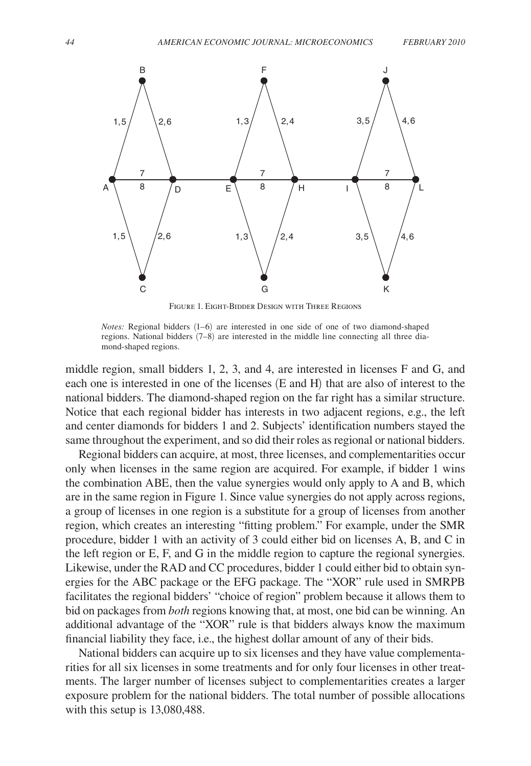

Figure 1. Eight-Bidder Design with Three Regions

*Notes:* Regional bidders (1–6) are interested in one side of one of two diamond-shaped regions. National bidders (7–8) are interested in the middle line connecting all three diamond-shaped regions.

middle region, small bidders 1, 2, 3, and 4, are interested in licenses F and G, and each one is interested in one of the licenses (E and H) that are also of interest to the national bidders. The diamond-shaped region on the far right has a similar structure. Notice that each regional bidder has interests in two adjacent regions, e.g., the left and center diamonds for bidders 1 and 2. Subjects' identification numbers stayed the same throughout the experiment, and so did their roles as regional or national bidders.

Regional bidders can acquire, at most, three licenses, and complementarities occur only when licenses in the same region are acquired. For example, if bidder 1 wins the combination ABE, then the value synergies would only apply to A and B, which are in the same region in Figure 1. Since value synergies do not apply across regions, a group of licenses in one region is a substitute for a group of licenses from another region, which creates an interesting "fitting problem." For example, under the SMR procedure, bidder 1 with an activity of 3 could either bid on licenses A, B, and C in the left region or E, F, and G in the middle region to capture the regional synergies. Likewise, under the RAD and CC procedures, bidder 1 could either bid to obtain synergies for the ABC package or the EFG package. The "XOR" rule used in SMRPB facilitates the regional bidders' "choice of region" problem because it allows them to bid on packages from *both* regions knowing that, at most, one bid can be winning. An additional advantage of the "XOR" rule is that bidders always know the maximum financial liability they face, i.e., the highest dollar amount of any of their bids.

National bidders can acquire up to six licenses and they have value complementarities for all six licenses in some treatments and for only four licenses in other treatments. The larger number of licenses subject to complementarities creates a larger exposure problem for the national bidders. The total number of possible allocations with this setup is 13,080,488.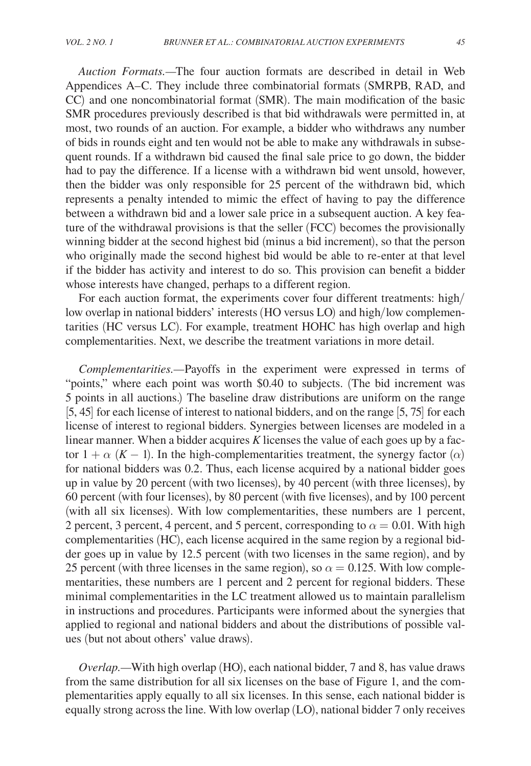*Auction Formats.—*The four auction formats are described in detail in Web Appendices A–C. They include three combinatorial formats (SMRPB, RAD, and CC) and one noncombinatorial format (SMR). The main modification of the basic SMR procedures previously described is that bid withdrawals were permitted in, at most, two rounds of an auction. For example, a bidder who withdraws any number of bids in rounds eight and ten would not be able to make any withdrawals in subsequent rounds. If a withdrawn bid caused the final sale price to go down, the bidder had to pay the difference. If a license with a withdrawn bid went unsold, however, then the bidder was only responsible for 25 percent of the withdrawn bid, which represents a penalty intended to mimic the effect of having to pay the difference between a withdrawn bid and a lower sale price in a subsequent auction. A key feature of the withdrawal provisions is that the seller (FCC) becomes the provisionally winning bidder at the second highest bid (minus a bid increment), so that the person who originally made the second highest bid would be able to re-enter at that level if the bidder has activity and interest to do so. This provision can benefit a bidder whose interests have changed, perhaps to a different region.

For each auction format, the experiments cover four different treatments: high/ low overlap in national bidders' interests (HO versus LO) and high/low complementarities (HC versus LC). For example, treatment HOHC has high overlap and high complementarities. Next, we describe the treatment variations in more detail.

*Complementarities.—*Payoffs in the experiment were expressed in terms of "points," where each point was worth \$0.40 to subjects. (The bid increment was 5 points in all auctions.) The baseline draw distributions are uniform on the range [5, 45] for each license of interest to national bidders, and on the range [5, 75] for each license of interest to regional bidders. Synergies between licenses are modeled in a linear manner. When a bidder acquires *K* licenses the value of each goes up by a factor  $1 + \alpha$  (*K* − 1). In the high-complementarities treatment, the synergy factor ( $\alpha$ ) for national bidders was 0.2. Thus, each license acquired by a national bidder goes up in value by 20 percent (with two licenses), by 40 percent (with three licenses), by 60 percent (with four licenses), by 80 percent (with five licenses), and by 100 percent (with all six licenses). With low complementarities, these numbers are 1 percent, 2 percent, 3 percent, 4 percent, and 5 percent, corresponding to  $\alpha = 0.01$ . With high complementarities (HC), each license acquired in the same region by a regional bidder goes up in value by 12.5 percent (with two licenses in the same region), and by 25 percent (with three licenses in the same region), so  $\alpha = 0.125$ . With low complementarities, these numbers are 1 percent and 2 percent for regional bidders. These minimal complementarities in the LC treatment allowed us to maintain parallelism in instructions and procedures. Participants were informed about the synergies that applied to regional and national bidders and about the distributions of possible values (but not about others' value draws).

*Overlap.—*With high overlap (HO), each national bidder, 7 and 8, has value draws from the same distribution for all six licenses on the base of Figure 1, and the complementarities apply equally to all six licenses. In this sense, each national bidder is equally strong across the line. With low overlap (LO), national bidder 7 only receives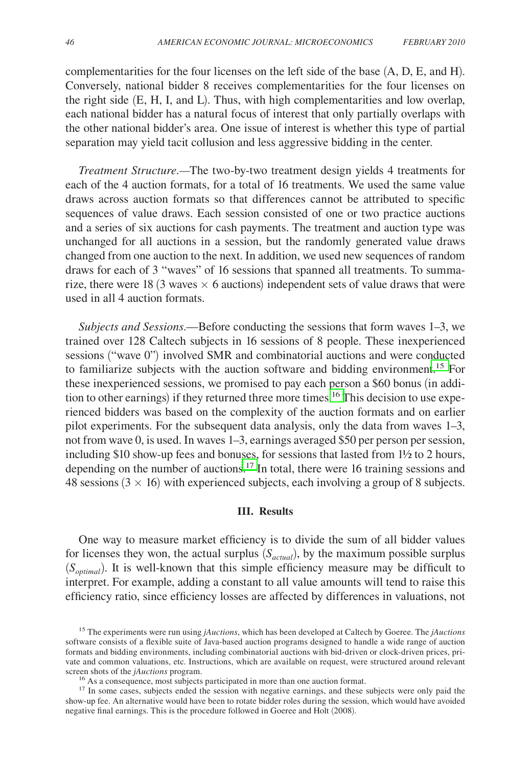complementarities for the four licenses on the left side of the base (A, D, E, and H). Conversely, national bidder 8 receives complementarities for the four licenses on the right side (E, H, I, and L). Thus, with high complementarities and low overlap, each national bidder has a natural focus of interest that only partially overlaps with the other national bidder's area. One issue of interest is whether this type of partial separation may yield tacit collusion and less aggressive bidding in the center.

*Treatment Structure.—*The two-by-two treatment design yields 4 treatments for each of the 4 auction formats, for a total of 16 treatments. We used the same value draws across auction formats so that differences cannot be attributed to specific sequences of value draws. Each session consisted of one or two practice auctions and a series of six auctions for cash payments. The treatment and auction type was unchanged for all auctions in a session, but the randomly generated value draws changed from one auction to the next. In addition, we used new sequences of random draws for each of 3 "waves" of 16 sessions that spanned all treatments. To summarize, there were 18 (3 waves  $\times$  6 auctions) independent sets of value draws that were used in all 4 auction formats.

*Subjects and Sessions*.—Before conducting the sessions that form waves 1–3, we trained over 128 Caltech subjects in 16 sessions of 8 people. These inexperienced sessions ("wave 0") involved SMR and combinatorial auctions and were conducted to familiarize subjects with the auction software and bidding environment.<sup>15</sup> For these inexperienced sessions, we promised to pay each person a \$60 bonus (in addition to other earnings) if they returned three more times.16 This decision to use experienced bidders was based on the complexity of the auction formats and on earlier pilot experiments. For the subsequent data analysis, only the data from waves 1–3, not from wave 0, is used. In waves 1–3, earnings averaged \$50 per person per session, including \$10 show-up fees and bonuses, for sessions that lasted from  $1\frac{1}{2}$  to 2 hours, depending on the number of auctions.<sup>17</sup> In total, there were 16 training sessions and 48 sessions  $(3 \times 16)$  with experienced subjects, each involving a group of 8 subjects.

### **III. Results**

One way to measure market efficiency is to divide the sum of all bidder values for licenses they won, the actual surplus  $(S_{actual})$ , by the maximum possible surplus (*Soptimal*). It is well-known that this simple efficiency measure may be difficult to interpret. For example, adding a constant to all value amounts will tend to raise this efficiency ratio, since efficiency losses are affected by differences in valuations, not

<sup>15</sup> The experiments were run using *jAuctions*, which has been developed at Caltech by Goeree. The *jAuctions* software consists of a flexible suite of Java-based auction programs designed to handle a wide range of auction formats and bidding environments, including combinatorial auctions with bid-driven or clock-driven prices, private and common valuations, etc. Instructions, which are available on request, were structured around relevant screen shots of the *jAuctions* program.

<sup>&</sup>lt;sup>16</sup> As a consequence, most subjects participated in more than one auction format.<br><sup>17</sup> In some cases, subjects ended the session with negative earnings, and these subjects were only paid the show-up fee. An alternative would have been to rotate bidder roles during the session, which would have avoided negative final earnings. This is the procedure followed in Goeree and Holt (2008).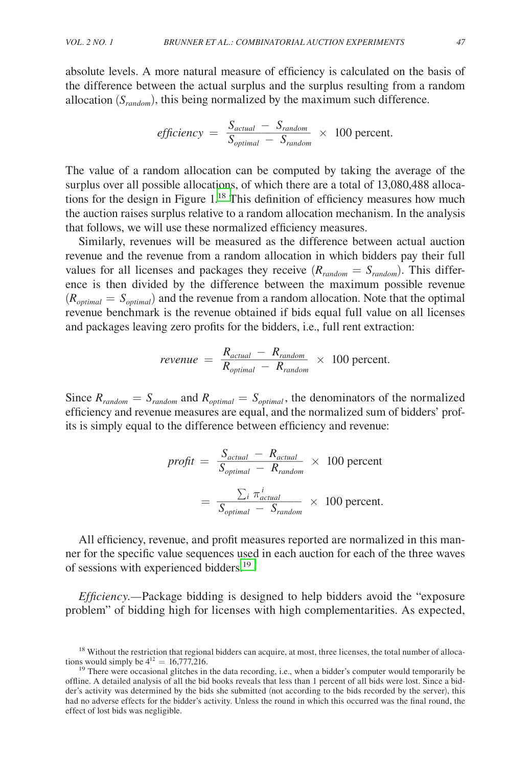absolute levels. A more natural measure of efficiency is calculated on the basis of the difference between the actual surplus and the surplus resulting from a random

allocation (
$$
S_{random}
$$
), this being normalized by the maximum such difference.

\n
$$
efficiency = \frac{S_{actual} - S_{random}}{S_{optimal} - S_{random}} \times 100 \text{ percent.}
$$

The value of a random allocation can be computed by taking the average of the surplus over all possible allocations, of which there are a total of 13,080,488 allocations for the design in Figure 1.18 This definition of efficiency measures how much the auction raises surplus relative to a random allocation mechanism. In the analysis that follows, we will use these normalized efficiency measures.

Similarly, revenues will be measured as the difference between actual auction revenue and the revenue from a random allocation in which bidders pay their full values for all licenses and packages they receive  $(R_{random} = S_{random})$ . This difference is then divided by the difference between the maximum possible revenue  $(R_{optimal} = S_{optimal})$  and the revenue from a random allocation. Note that the optimal revenue benchmark is the revenue obtained if bids equal full value on all licenses

and packages leaving zero profits for the bidders, i.e., full rent extraction:  
\n
$$
revenue = \frac{R_{actual} - R_{random}}{R_{optimal} - R_{random}} \times 100
$$
 percent.

Since  $R_{random} = S_{random}$  and  $R_{optimal} = S_{optimal}$ , the denominators of the normalized efficiency and revenue measures are equal, and the normalized sum of bidders' prof-

its is simply equal to the difference between efficiency and revenue:  
\n
$$
profit = \frac{S_{actual} - R_{actual}}{S_{optimal} - R_{random}} \times 100 \text{ percent}
$$
\n
$$
= \frac{\sum_{i} \pi_{actual}^{i}}{S_{optimal} - S_{random}} \times 100 \text{ percent.}
$$

All efficiency, revenue, and profit measures reported are normalized in this manner for the specific value sequences used in each auction for each of the three waves of sessions with experienced bidders.19

*Efficiency.—*Package bidding is designed to help bidders avoid the "exposure problem" of bidding high for licenses with high complementarities. As expected,

<sup>&</sup>lt;sup>18</sup> Without the restriction that regional bidders can acquire, at most, three licenses, the total number of allocations would simply be  $4^{12} = 16,777,216$ .

<sup>&</sup>lt;sup>19</sup> There were occasional glitches in the data recording, i.e., when a bidder's computer would temporarily be offline. A detailed analysis of all the bid books reveals that less than 1 percent of all bids were lost. Since a bidder's activity was determined by the bids she submitted (not according to the bids recorded by the server), this had no adverse effects for the bidder's activity. Unless the round in which this occurred was the final round, the effect of lost bids was negligible.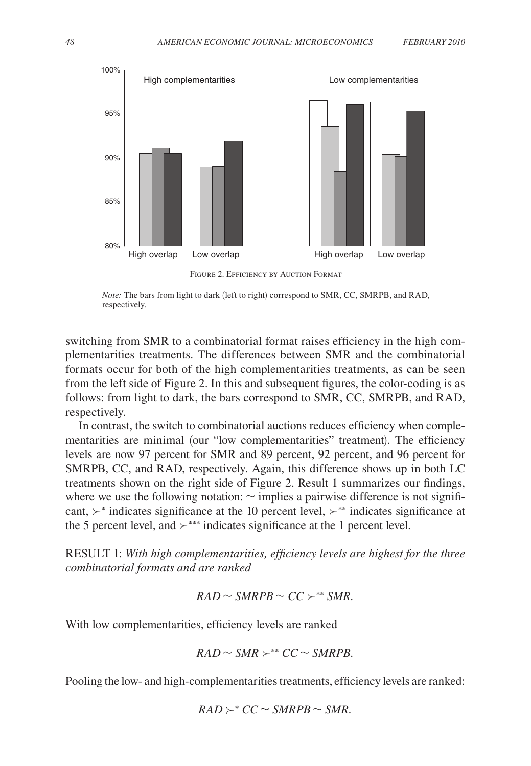

Figure 2. Efficiency by Auction Format

*Note:* The bars from light to dark (left to right) correspond to SMR, CC, SMRPB, and RAD, respectively.

switching from SMR to a combinatorial format raises efficiency in the high complementarities treatments. The differences between SMR and the combinatorial formats occur for both of the high complementarities treatments, as can be seen from the left side of Figure 2. In this and subsequent figures, the color-coding is as follows: from light to dark, the bars correspond to SMR, CC, SMRPB, and RAD, respectively.

In contrast, the switch to combinatorial auctions reduces efficiency when complementarities are minimal (our "low complementarities" treatment). The efficiency levels are now 97 percent for SMR and 89 percent, 92 percent, and 96 percent for SMRPB, CC, and RAD, respectively. Again, this difference shows up in both LC treatments shown on the right side of Figure 2. Result 1 summarizes our findings, where we use the following notation:  $\sim$  implies a pairwise difference is not significant, ≻**\*** indicates significance at the 10 percent level, ≻**\*\*** indicates significance at the 5 percent level, and  $\succ^{\ast\ast\ast}$  indicates significance at the 1 percent level.

Result 1: *With high complementarities, efficiency levels are highest for the three combinatorial formats and are ranked*

 $RAD \sim \text{SMRPB} \sim CC >^*$  *SMR.* 

With low complementarities, efficiency levels are ranked

$$
RAD \sim SMR \succ^{**} CC \sim SMRPB
$$
.

Pooling the low- and high-complementarities treatments, efficiency levels are ranked:

 $RAD \succ^* CC \sim \text{SMRPB} \sim \text{SMR}$ .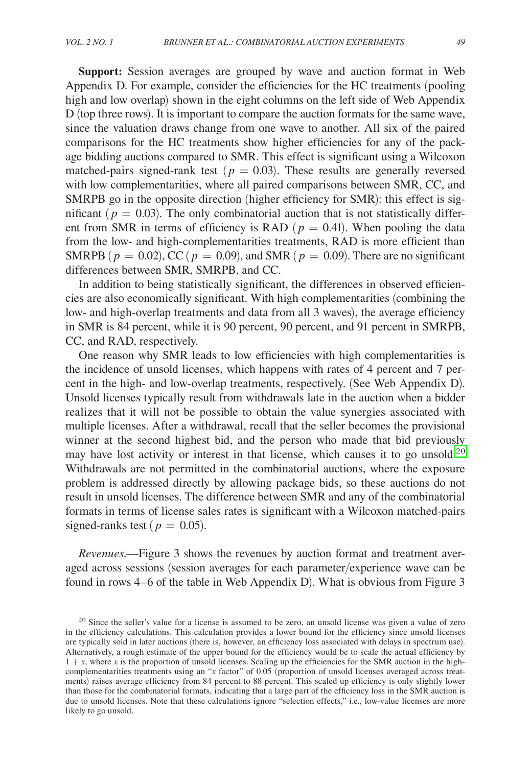**Support:** Session averages are grouped by wave and auction format in Web Appendix D. For example, consider the efficiencies for the HC treatments (pooling high and low overlap) shown in the eight columns on the left side of Web Appendix D (top three rows). It is important to compare the auction formats for the same wave, since the valuation draws change from one wave to another. All six of the paired comparisons for the HC treatments show higher efficiencies for any of the package bidding auctions compared to SMR. This effect is significant using a Wilcoxon matched-pairs signed-rank test ( $p = 0.03$ ). These results are generally reversed with low complementarities, where all paired comparisons between SMR, CC, and SMRPB go in the opposite direction (higher efficiency for SMR): this effect is significant ( $p = 0.03$ ). The only combinatorial auction that is not statistically different from SMR in terms of efficiency is RAD ( $p = 0.41$ ). When pooling the data from the low- and high-complementarities treatments, RAD is more efficient than SMRPB ( $p = 0.02$ ), CC ( $p = 0.09$ ), and SMR ( $p = 0.09$ ). There are no significant differences between SMR, SMRPB, and CC.

In addition to being statistically significant, the differences in observed efficiencies are also economically significant. With high complementarities (combining the low- and high-overlap treatments and data from all 3 waves), the average efficiency in SMR is 84 percent, while it is 90 percent, 90 percent, and 91 percent in SMRPB, CC, and RAD, respectively.

One reason why SMR leads to low efficiencies with high complementarities is the incidence of unsold licenses, which happens with rates of 4 percent and 7 percent in the high- and low-overlap treatments, respectively. (See Web Appendix D). Unsold licenses typically result from withdrawals late in the auction when a bidder realizes that it will not be possible to obtain the value synergies associated with multiple licenses. After a withdrawal, recall that the seller becomes the provisional winner at the second highest bid, and the person who made that bid previously may have lost activity or interest in that license, which causes it to go unsold.20 Withdrawals are not permitted in the combinatorial auctions, where the exposure problem is addressed directly by allowing package bids, so these auctions do not result in unsold licenses. The difference between SMR and any of the combinatorial formats in terms of license sales rates is significant with a Wilcoxon matched-pairs signed-ranks test ( $p = 0.05$ ).

*Revenues*.—Figure 3 shows the revenues by auction format and treatment averaged across sessions (session averages for each parameter/experience wave can be found in rows 4–6 of the table in Web Appendix D). What is obvious from Figure 3

<sup>&</sup>lt;sup>20</sup> Since the seller's value for a license is assumed to be zero, an unsold license was given a value of zero in the efficiency calculations. This calculation provides a lower bound for the efficiency since unsold licenses are typically sold in later auctions (there is, however, an efficiency loss associated with delays in spectrum use). Alternatively, a rough estimate of the upper bound for the efficiency would be to scale the actual efficiency by  $1 + x$ , where *x* is the proportion of unsold licenses. Scaling up the efficiencies for the SMR auction in the highcomplementarities treatments using an "*x* factor" of 0.05 (proportion of unsold licenses averaged across treatments) raises average efficiency from 84 percent to 88 percent. This scaled up efficiency is only slightly lower than those for the combinatorial formats, indicating that a large part of the efficiency loss in the SMR auction is due to unsold licenses. Note that these calculations ignore "selection effects," i.e., low-value licenses are more likely to go unsold.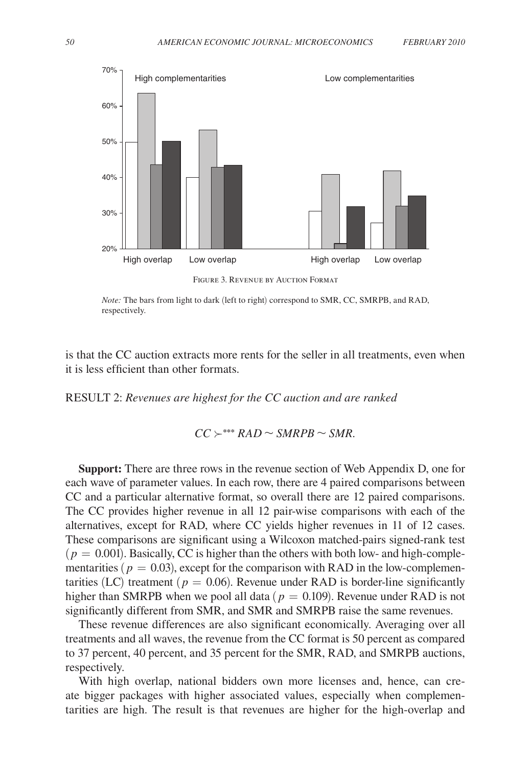

Figure 3. Revenue by Auction Format

*Note:* The bars from light to dark (left to right) correspond to SMR, CC, SMRPB, and RAD, respectively.

is that the CC auction extracts more rents for the seller in all treatments, even when it is less efficient than other formats.

Result 2: *Revenues are highest for the CC auction and are ranked*

 $CC \succ^{\ast\ast\ast} RAD \sim \text{SMRPB} \sim \text{SMR}$ .

**Support:** There are three rows in the revenue section of Web Appendix D, one for each wave of parameter values. In each row, there are 4 paired comparisons between CC and a particular alternative format, so overall there are 12 paired comparisons. The CC provides higher revenue in all 12 pair-wise comparisons with each of the alternatives, except for RAD, where CC yields higher revenues in 11 of 12 cases. These comparisons are significant using a Wilcoxon matched-pairs signed-rank test  $(p = 0.001)$ . Basically, CC is higher than the others with both low- and high-complementarities ( $p = 0.03$ ), except for the comparison with RAD in the low-complementarities (LC) treatment ( $p = 0.06$ ). Revenue under RAD is border-line significantly higher than SMRPB when we pool all data ( $p = 0.109$ ). Revenue under RAD is not significantly different from SMR, and SMR and SMRPB raise the same revenues.

These revenue differences are also significant economically. Averaging over all treatments and all waves, the revenue from the CC format is 50 percent as compared to 37 percent, 40 percent, and 35 percent for the SMR, RAD, and SMRPB auctions, respectively.

With high overlap, national bidders own more licenses and, hence, can create bigger packages with higher associated values, especially when complementarities are high. The result is that revenues are higher for the high-overlap and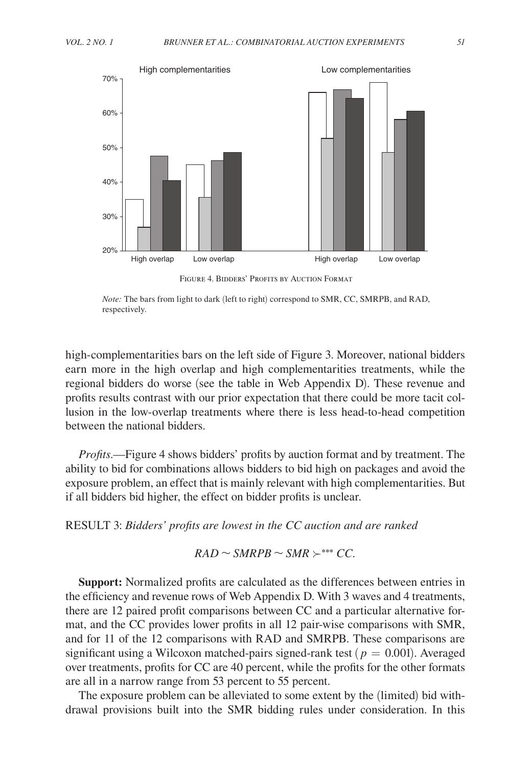

FIGURE 4. BIDDERS' PROFITS BY AUCTION FORMAT

*Note:* The bars from light to dark (left to right) correspond to SMR, CC, SMRPB, and RAD, respectively.

high-complementarities bars on the left side of Figure 3. Moreover, national bidders earn more in the high overlap and high complementarities treatments, while the regional bidders do worse (see the table in Web Appendix D). These revenue and profits results contrast with our prior expectation that there could be more tacit collusion in the low-overlap treatments where there is less head-to-head competition between the national bidders.

*Profits*.—Figure 4 shows bidders' profits by auction format and by treatment. The ability to bid for combinations allows bidders to bid high on packages and avoid the exposure problem, an effect that is mainly relevant with high complementarities. But if all bidders bid higher, the effect on bidder profits is unclear.

Result 3: *Bidders' profits are lowest in the CC auction and are ranked*

 $RAD \sim \text{SMRPB} \sim \text{SMR} >$ \*\*\* *CC.* 

**Support:** Normalized profits are calculated as the differences between entries in the efficiency and revenue rows of Web Appendix D. With 3 waves and 4 treatments, there are 12 paired profit comparisons between CC and a particular alternative format, and the CC provides lower profits in all 12 pair-wise comparisons with SMR, and for 11 of the 12 comparisons with RAD and SMRPB. These comparisons are significant using a Wilcoxon matched-pairs signed-rank test  $(p = 0.001)$ . Averaged over treatments, profits for CC are 40 percent, while the profits for the other formats are all in a narrow range from 53 percent to 55 percent.

The exposure problem can be alleviated to some extent by the (limited) bid withdrawal provisions built into the SMR bidding rules under consideration. In this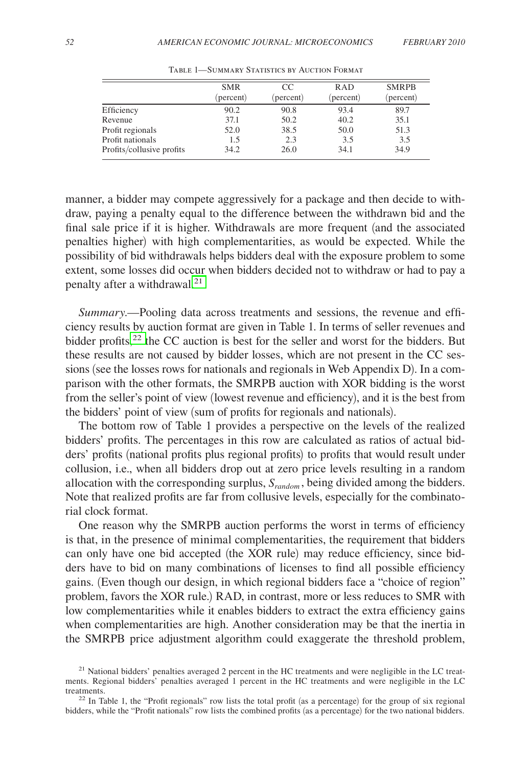|                           | <b>SMR</b> | CC        | <b>RAD</b> | <b>SMRPB</b> |
|---------------------------|------------|-----------|------------|--------------|
|                           | (percent)  | (percent) | (percent)  | (percent)    |
| Efficiency                | 90.2       | 90.8      | 93.4       | 89.7         |
| Revenue                   | 37.1       | 50.2      | 40.2       | 35.1         |
| Profit regionals          | 52.0       | 38.5      | 50.0       | 51.3         |
| Profit nationals          | 1.5        | 2.3       | 3.5        | 3.5          |
| Profits/collusive profits | 34.2       | 26.0      | 34.1       | 34.9         |

Table 1—Summary Statistics by Auction Format

manner, a bidder may compete aggressively for a package and then decide to withdraw, paying a penalty equal to the difference between the withdrawn bid and the final sale price if it is higher. Withdrawals are more frequent (and the associated penalties higher) with high complementarities, as would be expected. While the possibility of bid withdrawals helps bidders deal with the exposure problem to some extent, some losses did occur when bidders decided not to withdraw or had to pay a penalty after a withdrawal.<sup>21</sup>

*Summary*.—Pooling data across treatments and sessions, the revenue and efficiency results by auction format are given in Table 1. In terms of seller revenues and bidder profits, $^{22}$  the CC auction is best for the seller and worst for the bidders. But these results are not caused by bidder losses, which are not present in the CC sessions (see the losses rows for nationals and regionals in Web Appendix D). In a comparison with the other formats, the SMRPB auction with XOR bidding is the worst from the seller's point of view (lowest revenue and efficiency), and it is the best from the bidders' point of view (sum of profits for regionals and nationals).

The bottom row of Table 1 provides a perspective on the levels of the realized bidders' profits. The percentages in this row are calculated as ratios of actual bidders' profits (national profits plus regional profits) to profits that would result under collusion, i.e., when all bidders drop out at zero price levels resulting in a random allocation with the corresponding surplus, *Srandom* , being divided among the bidders. Note that realized profits are far from collusive levels, especially for the combinatorial clock format.

One reason why the SMRPB auction performs the worst in terms of efficiency is that, in the presence of minimal complementarities, the requirement that bidders can only have one bid accepted (the XOR rule) may reduce efficiency, since bidders have to bid on many combinations of licenses to find all possible efficiency gains. (Even though our design, in which regional bidders face a "choice of region" problem, favors the XOR rule.) RAD, in contrast, more or less reduces to SMR with low complementarities while it enables bidders to extract the extra efficiency gains when complementarities are high. Another consideration may be that the inertia in the SMRPB price adjustment algorithm could exaggerate the threshold problem,

 $21$  National bidders' penalties averaged 2 percent in the HC treatments and were negligible in the LC treatments. Regional bidders' penalties averaged 1 percent in the HC treatments and were negligible in the LC

treatments.<br><sup>22</sup> In Table 1, the "Profit regionals" row lists the total profit (as a percentage) for the group of six regional bidders, while the "Profit nationals" row lists the combined profits (as a percentage) for the two national bidders.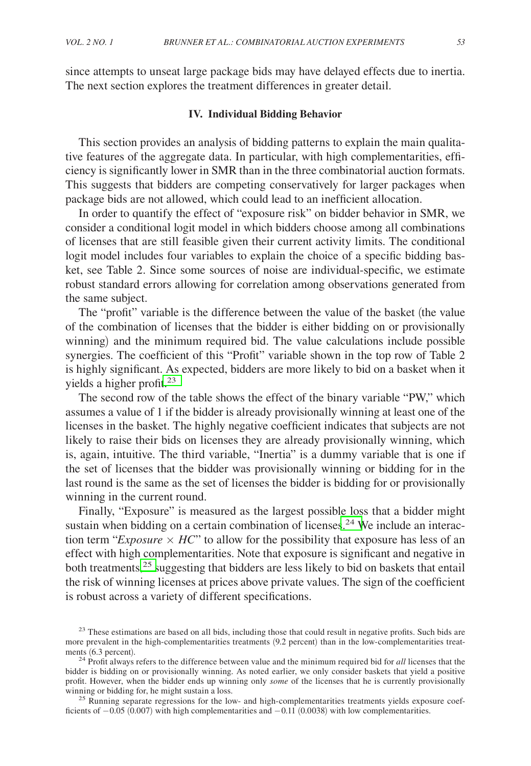since attempts to unseat large package bids may have delayed effects due to inertia. The next section explores the treatment differences in greater detail.

#### **IV. Individual Bidding Behavior**

This section provides an analysis of bidding patterns to explain the main qualitative features of the aggregate data. In particular, with high complementarities, efficiency is significantly lower in SMR than in the three combinatorial auction formats. This suggests that bidders are competing conservatively for larger packages when package bids are not allowed, which could lead to an inefficient allocation.

In order to quantify the effect of "exposure risk" on bidder behavior in SMR, we consider a conditional logit model in which bidders choose among all combinations of licenses that are still feasible given their current activity limits. The conditional logit model includes four variables to explain the choice of a specific bidding basket, see Table 2. Since some sources of noise are individual-specific, we estimate robust standard errors allowing for correlation among observations generated from the same subject.

The "profit" variable is the difference between the value of the basket (the value of the combination of licenses that the bidder is either bidding on or provisionally winning) and the minimum required bid. The value calculations include possible synergies. The coefficient of this "Profit" variable shown in the top row of Table 2 is highly significant. As expected, bidders are more likely to bid on a basket when it yields a higher profit.<sup>23</sup>

The second row of the table shows the effect of the binary variable "PW," which assumes a value of 1 if the bidder is already provisionally winning at least one of the licenses in the basket. The highly negative coefficient indicates that subjects are not likely to raise their bids on licenses they are already provisionally winning, which is, again, intuitive. The third variable, "Inertia" is a dummy variable that is one if the set of licenses that the bidder was provisionally winning or bidding for in the last round is the same as the set of licenses the bidder is bidding for or provisionally winning in the current round.

Finally, "Exposure" is measured as the largest possible loss that a bidder might sustain when bidding on a certain combination of licenses.<sup>24</sup> We include an interaction term "*Exposure*  $\times$  *HC*" to allow for the possibility that exposure has less of an effect with high complementarities. Note that exposure is significant and negative in both treatments,<sup>25</sup> suggesting that bidders are less likely to bid on baskets that entail the risk of winning licenses at prices above private values. The sign of the coefficient is robust across a variety of different specifications.

ficients of −0.05 (0.007) with high complementarities and −0.11 (0.0038) with low complementarities.

<sup>&</sup>lt;sup>23</sup> These estimations are based on all bids, including those that could result in negative profits. Such bids are more prevalent in the high-complementarities treatments (9.2 percent) than in the low-complementarities treat-<br>ments (6.3 percent).

<sup>&</sup>lt;sup>24</sup> Profit always refers to the difference between value and the minimum required bid for *all* licenses that the bidder is bidding on or provisionally winning. As noted earlier, we only consider baskets that yield a positive profit. However, when the bidder ends up winning only *some* of the licenses that he is currently provisionally winning or bidding for, he might sustain a loss.<br><sup>25</sup> Running separate regressions for the low- and high-complementarities treatments yields exposure coef-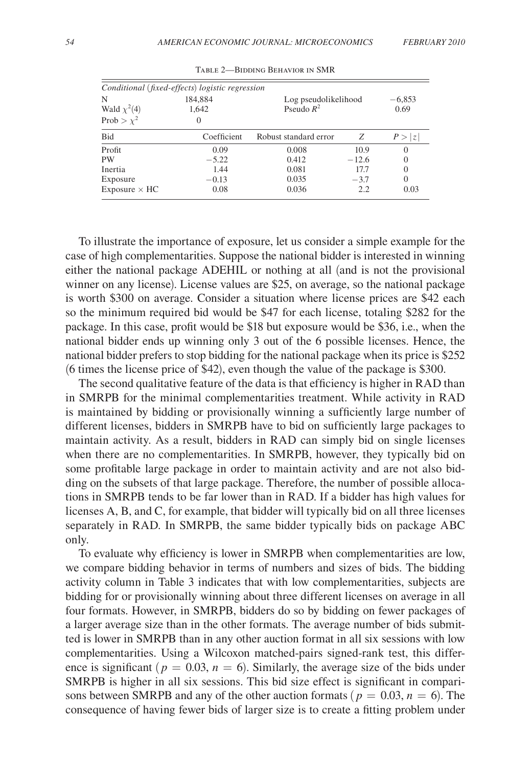|                       | Conditional (fixed-effects) logistic regression |                                      |         |                            |  |
|-----------------------|-------------------------------------------------|--------------------------------------|---------|----------------------------|--|
| N<br>Wald $\chi^2(4)$ | 184,884<br>1,642                                | Log pseudolikelihood<br>Pseudo $R^2$ |         | $-6,853$<br>0.69           |  |
| Prob > $\chi^2$       | $\theta$                                        |                                      |         |                            |  |
| Bid                   | Coefficient                                     | Robust standard error                | Z       | $P > \vert$<br>$Z_{\rm c}$ |  |
| Profit                | 0.09                                            | 0.008                                | 10.9    | $\Omega$                   |  |
| <b>PW</b>             | $-5.22$                                         | 0.412                                | $-12.6$ | $\Omega$                   |  |
| Inertia               | 1.44                                            | 0.081                                | 17.7    |                            |  |
| Exposure              | $-0.13$                                         | 0.035                                | $-3.7$  | $\Omega$                   |  |
| Exposure $\times$ HC  | 0.08                                            | 0.036                                | 2.2     | 0.03                       |  |

Table 2—Bidding Behavior in SMR

To illustrate the importance of exposure, let us consider a simple example for the case of high complementarities. Suppose the national bidder is interested in winning either the national package ADEHIL or nothing at all (and is not the provisional winner on any license). License values are \$25, on average, so the national package is worth \$300 on average. Consider a situation where license prices are \$42 each so the minimum required bid would be \$47 for each license, totaling \$282 for the package. In this case, profit would be \$18 but exposure would be \$36, i.e., when the national bidder ends up winning only 3 out of the 6 possible licenses. Hence, the national bidder prefers to stop bidding for the national package when its price is \$252 (6 times the license price of \$42), even though the value of the package is \$300.

The second qualitative feature of the data is that efficiency is higher in RAD than in SMRPB for the minimal complementarities treatment. While activity in RAD is maintained by bidding or provisionally winning a sufficiently large number of different licenses, bidders in SMRPB have to bid on sufficiently large packages to maintain activity. As a result, bidders in RAD can simply bid on single licenses when there are no complementarities. In SMRPB, however, they typically bid on some profitable large package in order to maintain activity and are not also bidding on the subsets of that large package. Therefore, the number of possible allocations in SMRPB tends to be far lower than in RAD. If a bidder has high values for licenses A, B, and C, for example, that bidder will typically bid on all three licenses separately in RAD. In SMRPB, the same bidder typically bids on package ABC only.

To evaluate why efficiency is lower in SMRPB when complementarities are low, we compare bidding behavior in terms of numbers and sizes of bids. The bidding activity column in Table 3 indicates that with low complementarities, subjects are bidding for or provisionally winning about three different licenses on average in all four formats. However, in SMRPB, bidders do so by bidding on fewer packages of a larger average size than in the other formats. The average number of bids submitted is lower in SMRPB than in any other auction format in all six sessions with low complementarities. Using a Wilcoxon matched-pairs signed-rank test, this difference is significant ( $p = 0.03$ ,  $n = 6$ ). Similarly, the average size of the bids under SMRPB is higher in all six sessions. This bid size effect is significant in comparisons between SMRPB and any of the other auction formats ( $p = 0.03$ ,  $n = 6$ ). The consequence of having fewer bids of larger size is to create a fitting problem under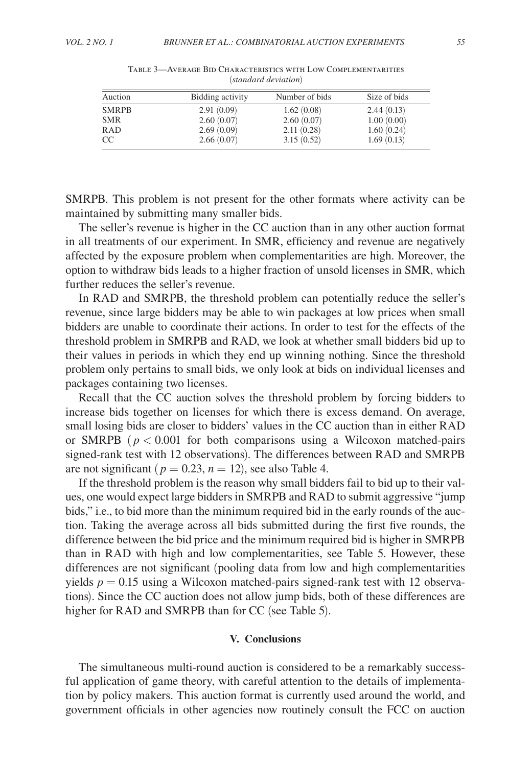| Auction       | Bidding activity | Number of bids | Size of bids |
|---------------|------------------|----------------|--------------|
| <b>SMRPB</b>  | 2.91(0.09)       | 1.62(0.08)     | 2.44(0.13)   |
| <b>SMR</b>    | 2.60(0.07)       | 2.60(0.07)     | 1.00(0.00)   |
| <b>RAD</b>    | 2.69(0.09)       | 2.11(0.28)     | 1.60(0.24)   |
| <sub>CC</sub> | 2.66(0.07)       | 3.15(0.52)     | 1.69(0.13)   |

Table 3—Average Bid Characteristics with Low Complementarities (*standard deviation*)

SMRPB. This problem is not present for the other formats where activity can be maintained by submitting many smaller bids.

The seller's revenue is higher in the CC auction than in any other auction format in all treatments of our experiment. In SMR, efficiency and revenue are negatively affected by the exposure problem when complementarities are high. Moreover, the option to withdraw bids leads to a higher fraction of unsold licenses in SMR, which further reduces the seller's revenue.

In RAD and SMRPB, the threshold problem can potentially reduce the seller's revenue, since large bidders may be able to win packages at low prices when small bidders are unable to coordinate their actions. In order to test for the effects of the threshold problem in SMRPB and RAD, we look at whether small bidders bid up to their values in periods in which they end up winning nothing. Since the threshold problem only pertains to small bids, we only look at bids on individual licenses and packages containing two licenses.

Recall that the CC auction solves the threshold problem by forcing bidders to increase bids together on licenses for which there is excess demand. On average, small losing bids are closer to bidders' values in the CC auction than in either RAD or SMRPB ( $p < 0.001$  for both comparisons using a Wilcoxon matched-pairs signed-rank test with 12 observations). The differences between RAD and SMRPB are not significant ( $p = 0.23$ ,  $n = 12$ ), see also Table 4.

If the threshold problem is the reason why small bidders fail to bid up to their values, one would expect large bidders in SMRPB and RAD to submit aggressive "jump bids," i.e., to bid more than the minimum required bid in the early rounds of the auction. Taking the average across all bids submitted during the first five rounds, the difference between the bid price and the minimum required bid is higher in SMRPB than in RAD with high and low complementarities, see Table 5. However, these differences are not significant (pooling data from low and high complementarities yields  $p = 0.15$  using a Wilcoxon matched-pairs signed-rank test with 12 observations). Since the CC auction does not allow jump bids, both of these differences are higher for RAD and SMRPB than for CC (see Table 5).

# **V. Conclusions**

The simultaneous multi-round auction is considered to be a remarkably successful application of game theory, with careful attention to the details of implementation by policy makers. This auction format is currently used around the world, and government officials in other agencies now routinely consult the FCC on auction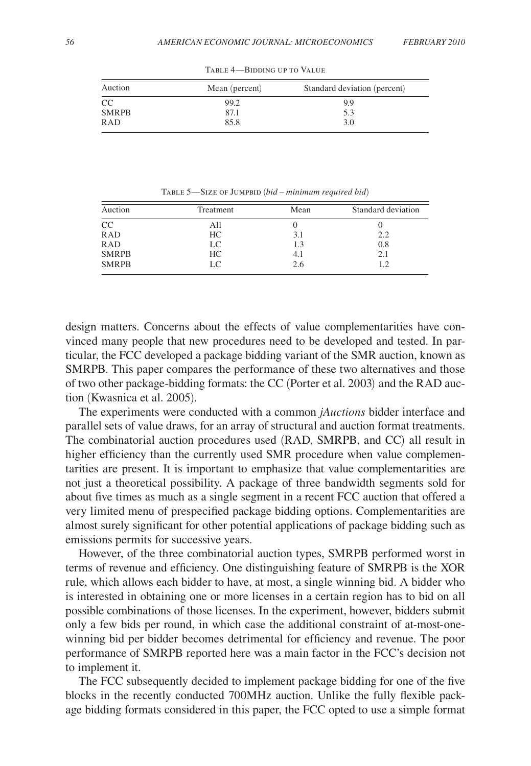| Auction       | Mean (percent) | Standard deviation (percent) |
|---------------|----------------|------------------------------|
| <sub>CC</sub> | 99.2           | 9.9                          |
| <b>SMRPB</b>  | 87.1           | 5.3                          |
| <b>RAD</b>    | 85.8           | 3.0                          |

Table 4—Bidding up to Value

Table 5—Size of Jumpbid (*bid – minimum required bid*)

| Auction      | Treatment | Mean | Standard deviation |
|--------------|-----------|------|--------------------|
| CC           | All       |      |                    |
| RAD          | HC        | 3.1  | 2.2                |
| <b>RAD</b>   | LC        |      | 0.8                |
| <b>SMRPB</b> | HC        | 4.1  | 2.1                |
| <b>SMRPB</b> | LC        | 2.6  | 12                 |

design matters. Concerns about the effects of value complementarities have convinced many people that new procedures need to be developed and tested. In particular, the FCC developed a package bidding variant of the SMR auction, known as SMRPB. This paper compares the performance of these two alternatives and those of two other package-bidding formats: the CC (Porter et al. 2003) and the RAD auction (Kwasnica et al. 2005).

The experiments were conducted with a common *jAuctions* bidder interface and parallel sets of value draws, for an array of structural and auction format treatments. The combinatorial auction procedures used (RAD, SMRPB, and CC) all result in higher efficiency than the currently used SMR procedure when value complementarities are present. It is important to emphasize that value complementarities are not just a theoretical possibility. A package of three bandwidth segments sold for about five times as much as a single segment in a recent FCC auction that offered a very limited menu of prespecified package bidding options. Complementarities are almost surely significant for other potential applications of package bidding such as emissions permits for successive years.

However, of the three combinatorial auction types, SMRPB performed worst in terms of revenue and efficiency. One distinguishing feature of SMRPB is the XOR rule, which allows each bidder to have, at most, a single winning bid. A bidder who is interested in obtaining one or more licenses in a certain region has to bid on all possible combinations of those licenses. In the experiment, however, bidders submit only a few bids per round, in which case the additional constraint of at-most-onewinning bid per bidder becomes detrimental for efficiency and revenue. The poor performance of SMRPB reported here was a main factor in the FCC's decision not to implement it.

The FCC subsequently decided to implement package bidding for one of the five blocks in the recently conducted 700MHz auction. Unlike the fully flexible package bidding formats considered in this paper, the FCC opted to use a simple format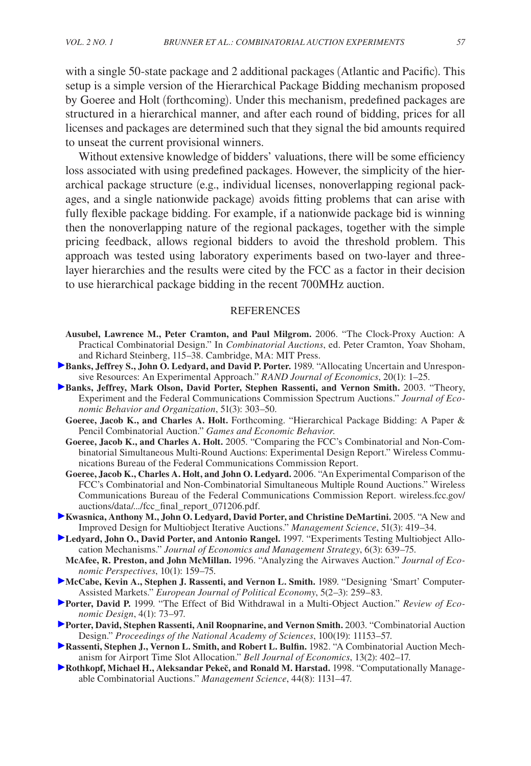with a single 50-state package and 2 additional packages (Atlantic and Pacific). This setup is a simple version of the Hierarchical Package Bidding mechanism proposed by Goeree and Holt (forthcoming). Under this mechanism, predefined packages are structured in a hierarchical manner, and after each round of bidding, prices for all licenses and packages are determined such that they signal the bid amounts required to unseat the current provisional winners.

Without extensive knowledge of bidders' valuations, there will be some efficiency loss associated with using predefined packages. However, the simplicity of the hierarchical package structure (e.g., individual licenses, nonoverlapping regional packages, and a single nationwide package) avoids fitting problems that can arise with fully flexible package bidding. For example, if a nationwide package bid is winning then the nonoverlapping nature of the regional packages, together with the simple pricing feedback, allows regional bidders to avoid the threshold problem. This approach was tested using laboratory experiments based on two-layer and threelayer hierarchies and the results were cited by the FCC as a factor in their decision to use hierarchical package bidding in the recent 700MHz auction.

#### **REFERENCES**

- **Ausubel, Lawrence M., Peter Cramton, and Paul Milgrom.** 2006. "The Clock-Proxy Auction: A Practical Combinatorial Design." In *Combinatorial Auctions*, ed. Peter Cramton, Yoav Shoham, and Richard Steinberg, 115–38. Cambridge, MA: MIT Press.
- **Banks, Jeffrey S., John O. Ledyard, and David P. Porter.** 1989. "Allocating Uncertain and Unresponsive Resources: An Experimental Approach." *RAND Journal of Economics*, 20(1): 1–25.
- **Banks, Jeffrey, Mark Olson, David Porter, Stephen Rassenti, and Vernon Smith.** 2003. "Theory, Experiment and the Federal Communications Commission Spectrum Auctions." *Journal of Economic Behavior and Organization*, 51(3): 303–50.
	- **Goeree, Jacob K., and Charles A. Holt.** Forthcoming. "Hierarchical Package Bidding: A Paper & Pencil Combinatorial Auction." *Games and Economic Behavior*.
	- **Goeree, Jacob K., and Charles A. Holt.** 2005. "Comparing the FCC's Combinatorial and Non-Combinatorial Simultaneous Multi-Round Auctions: Experimental Design Report." Wireless Communications Bureau of the Federal Communications Commission Report.
	- **Goeree, Jacob K., Charles A. Holt, and John O. Ledyard.** 2006. "An Experimental Comparison of the FCC's Combinatorial and Non-Combinatorial Simultaneous Multiple Round Auctions." Wireless Communications Bureau of the Federal Communications Commission Report. wireless.fcc.gov/ auctions/data/.../fcc\_final\_report\_071206.pdf.
- **Kwasnica, Anthony M., John O. Ledyard, David Porter, and Christine DeMartini.** 2005. "A New and Improved Design for Multiobject Iterative Auctions." *Management Science*, 51(3): 419–34.
- **Ledyard, John O., David Porter, and Antonio Rangel.** 1997. "Experiments Testing Multiobject Allocation Mechanisms." *Journal of Economics and Management Strategy*, 6(3): 639–75.
- **McAfee, R. Preston, and John McMillan.** 1996. "Analyzing the Airwaves Auction." *Journal of Economic Perspectives*, 10(1): 159–75.
- **McCabe, Kevin A., Stephen J. Rassenti, and Vernon L. Smith.** 1989. "Designing 'Smart' Computer-Assisted Markets." *European Journal of Political Economy*, 5(2–3): 259–83.
- **Porter, David P.** 1999. "The Effect of Bid Withdrawal in a Multi-Object Auction." *Review of Economic Design*, 4(1): 73–97.
- **Porter, David, Stephen Rassenti, Anil Roopnarine, and Vernon Smith.** 2003. "Combinatorial Auction Design." *Proceedings of the National Academy of Sciences*, 100(19): 11153–57.
- **Rassenti, Stephen J., Vernon L. Smith, and Robert L. Bulfin.** 1982. "A Combinatorial Auction Mechanism for Airport Time Slot Allocation." *Bell Journal of Economics*, 13(2): 402–17.
- **Rothkopf, Michael H., Aleksandar Peke˘ c, and Ronald M. Harstad.** 1998. "Computationally Manageable Combinatorial Auctions." *Management Science*, 44(8): 1131–47.